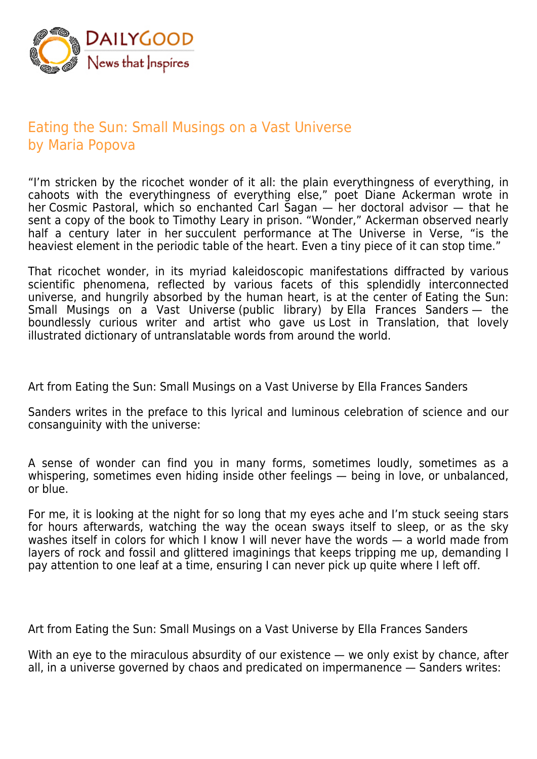

## Eating the Sun: Small Musings on a Vast Universe by Maria Popova

"I'm stricken by the ricochet wonder of it all: the plain everythingness of everything, in cahoots with the everythingness of everything else," poet Diane Ackerman wrote in her Cosmic Pastoral, which so enchanted Carl Sagan — her doctoral advisor — that he sent a copy of the book to Timothy Leary in prison. "Wonder," Ackerman observed nearly half a century later in her succulent performance at The Universe in Verse, "is the heaviest element in the periodic table of the heart. Even a tiny piece of it can stop time."

That ricochet wonder, in its myriad kaleidoscopic manifestations diffracted by various scientific phenomena, reflected by various facets of this splendidly interconnected universe, and hungrily absorbed by the human heart, is at the center of Eating the Sun: Small Musings on a Vast Universe (public library) by Ella Frances Sanders — the boundlessly curious writer and artist who gave us Lost in Translation, that lovely illustrated dictionary of untranslatable words from around the world.

Art from Eating the Sun: Small Musings on a Vast Universe by Ella Frances Sanders

Sanders writes in the preface to this lyrical and luminous celebration of science and our consanguinity with the universe:

A sense of wonder can find you in many forms, sometimes loudly, sometimes as a whispering, sometimes even hiding inside other feelings — being in love, or unbalanced, or blue.

For me, it is looking at the night for so long that my eyes ache and I'm stuck seeing stars for hours afterwards, watching the way the ocean sways itself to sleep, or as the sky washes itself in colors for which I know I will never have the words — a world made from layers of rock and fossil and glittered imaginings that keeps tripping me up, demanding I pay attention to one leaf at a time, ensuring I can never pick up quite where I left off.

Art from Eating the Sun: Small Musings on a Vast Universe by Ella Frances Sanders

With an eye to the miraculous absurdity of our existence — we only exist by chance, after all, in a universe governed by chaos and predicated on impermanence — Sanders writes: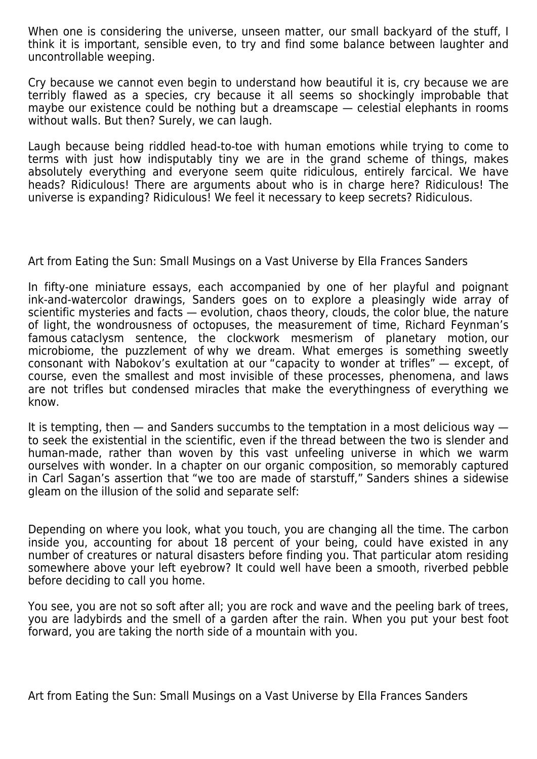When one is considering the universe, unseen matter, our small backyard of the stuff, I think it is important, sensible even, to try and find some balance between laughter and uncontrollable weeping.

Cry because we cannot even begin to understand how beautiful it is, cry because we are terribly flawed as a species, cry because it all seems so shockingly improbable that maybe our existence could be nothing but a dreamscape — celestial elephants in rooms without walls. But then? Surely, we can laugh.

Laugh because being riddled head-to-toe with human emotions while trying to come to terms with just how indisputably tiny we are in the grand scheme of things, makes absolutely everything and everyone seem quite ridiculous, entirely farcical. We have heads? Ridiculous! There are arguments about who is in charge here? Ridiculous! The universe is expanding? Ridiculous! We feel it necessary to keep secrets? Ridiculous.

Art from Eating the Sun: Small Musings on a Vast Universe by Ella Frances Sanders

In fifty-one miniature essays, each accompanied by one of her playful and poignant ink-and-watercolor drawings, Sanders goes on to explore a pleasingly wide array of scientific mysteries and facts — evolution, chaos theory, clouds, the color blue, the nature of light, the wondrousness of octopuses, the measurement of time, Richard Feynman's famous cataclysm sentence, the clockwork mesmerism of planetary motion, our microbiome, the puzzlement of why we dream. What emerges is something sweetly consonant with Nabokov's exultation at our "capacity to wonder at trifles" — except, of course, even the smallest and most invisible of these processes, phenomena, and laws are not trifles but condensed miracles that make the everythingness of everything we know.

It is tempting, then  $-$  and Sanders succumbs to the temptation in a most delicious way  $$ to seek the existential in the scientific, even if the thread between the two is slender and human-made, rather than woven by this vast unfeeling universe in which we warm ourselves with wonder. In a chapter on our organic composition, so memorably captured in Carl Sagan's assertion that "we too are made of starstuff," Sanders shines a sidewise gleam on the illusion of the solid and separate self:

Depending on where you look, what you touch, you are changing all the time. The carbon inside you, accounting for about 18 percent of your being, could have existed in any number of creatures or natural disasters before finding you. That particular atom residing somewhere above your left eyebrow? It could well have been a smooth, riverbed pebble before deciding to call you home.

You see, you are not so soft after all; you are rock and wave and the peeling bark of trees, you are ladybirds and the smell of a garden after the rain. When you put your best foot forward, you are taking the north side of a mountain with you.

Art from Eating the Sun: Small Musings on a Vast Universe by Ella Frances Sanders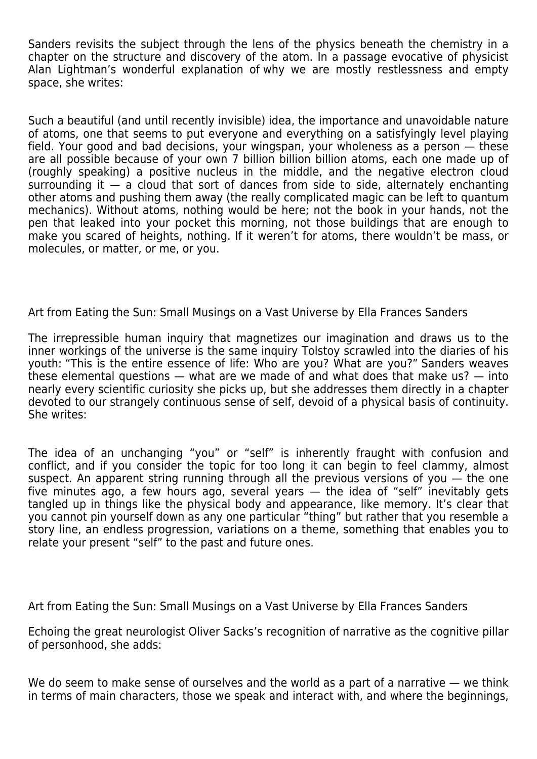Sanders revisits the subject through the lens of the physics beneath the chemistry in a chapter on the structure and discovery of the atom. In a passage evocative of physicist Alan Lightman's wonderful explanation of why we are mostly restlessness and empty space, she writes:

Such a beautiful (and until recently invisible) idea, the importance and unavoidable nature of atoms, one that seems to put everyone and everything on a satisfyingly level playing field. Your good and bad decisions, your wingspan, your wholeness as a person — these are all possible because of your own 7 billion billion billion atoms, each one made up of (roughly speaking) a positive nucleus in the middle, and the negative electron cloud surrounding it — a cloud that sort of dances from side to side, alternately enchanting other atoms and pushing them away (the really complicated magic can be left to quantum mechanics). Without atoms, nothing would be here; not the book in your hands, not the pen that leaked into your pocket this morning, not those buildings that are enough to make you scared of heights, nothing. If it weren't for atoms, there wouldn't be mass, or molecules, or matter, or me, or you.

Art from Eating the Sun: Small Musings on a Vast Universe by Ella Frances Sanders

The irrepressible human inquiry that magnetizes our imagination and draws us to the inner workings of the universe is the same inquiry Tolstoy scrawled into the diaries of his youth: "This is the entire essence of life: Who are you? What are you?" Sanders weaves these elemental questions — what are we made of and what does that make us? — into nearly every scientific curiosity she picks up, but she addresses them directly in a chapter devoted to our strangely continuous sense of self, devoid of a physical basis of continuity. She writes:

The idea of an unchanging "you" or "self" is inherently fraught with confusion and conflict, and if you consider the topic for too long it can begin to feel clammy, almost suspect. An apparent string running through all the previous versions of you — the one five minutes ago, a few hours ago, several years — the idea of "self" inevitably gets tangled up in things like the physical body and appearance, like memory. It's clear that you cannot pin yourself down as any one particular "thing" but rather that you resemble a story line, an endless progression, variations on a theme, something that enables you to relate your present "self" to the past and future ones.

Art from Eating the Sun: Small Musings on a Vast Universe by Ella Frances Sanders

Echoing the great neurologist Oliver Sacks's recognition of narrative as the cognitive pillar of personhood, she adds:

We do seem to make sense of ourselves and the world as a part of a narrative — we think in terms of main characters, those we speak and interact with, and where the beginnings,